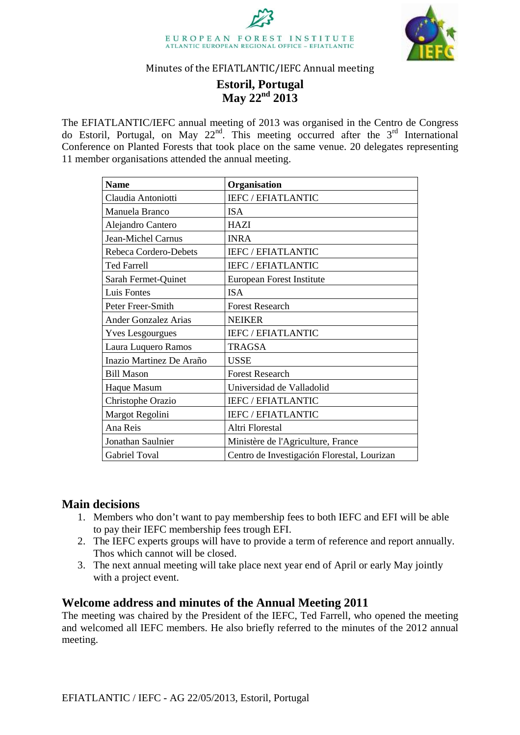



#### Minutes of the EFIATLANTIC/IEFC Annual meeting

# **Estoril, Portugal May 22nd 2013**

The EFIATLANTIC/IEFC annual meeting of 2013 was organised in the Centro de Congress do Estoril, Portugal, on May 22<sup>nd</sup>. This meeting occurred after the  $3<sup>rd</sup>$  International Conference on Planted Forests that took place on the same venue. 20 delegates representing 11 member organisations attended the annual meeting.

| <b>Name</b>                 | Organisation                                |
|-----------------------------|---------------------------------------------|
| Claudia Antoniotti          | <b>IEFC / EFIATLANTIC</b>                   |
| Manuela Branco              | <b>ISA</b>                                  |
| Alejandro Cantero           | <b>HAZI</b>                                 |
| Jean-Michel Carnus          | <b>INRA</b>                                 |
| Rebeca Cordero-Debets       | <b>IEFC / EFIATLANTIC</b>                   |
| <b>Ted Farrell</b>          | <b>IEFC / EFIATLANTIC</b>                   |
| Sarah Fermet-Quinet         | European Forest Institute                   |
| Luis Fontes                 | <b>ISA</b>                                  |
| Peter Freer-Smith           | <b>Forest Research</b>                      |
| <b>Ander Gonzalez Arias</b> | <b>NEIKER</b>                               |
| <b>Yves Lesgourgues</b>     | IEFC / EFIATLANTIC                          |
| Laura Luquero Ramos         | <b>TRAGSA</b>                               |
| Inazio Martinez De Araño    | <b>USSE</b>                                 |
| <b>Bill Mason</b>           | <b>Forest Research</b>                      |
| Haque Masum                 | Universidad de Valladolid                   |
| Christophe Orazio           | <b>IEFC / EFIATLANTIC</b>                   |
| Margot Regolini             | <b>IEFC / EFIATLANTIC</b>                   |
| Ana Reis                    | Altri Florestal                             |
| Jonathan Saulnier           | Ministère de l'Agriculture, France          |
| <b>Gabriel Toval</b>        | Centro de Investigación Florestal, Lourizan |

# **Main decisions**

- 1. Members who don't want to pay membership fees to both IEFC and EFI will be able to pay their IEFC membership fees trough EFI.
- 2. The IEFC experts groups will have to provide a term of reference and report annually. Thos which cannot will be closed.
- 3. The next annual meeting will take place next year end of April or early May jointly with a project event.

# **Welcome address and minutes of the Annual Meeting 2011**

The meeting was chaired by the President of the IEFC, Ted Farrell, who opened the meeting and welcomed all IEFC members. He also briefly referred to the minutes of the 2012 annual meeting.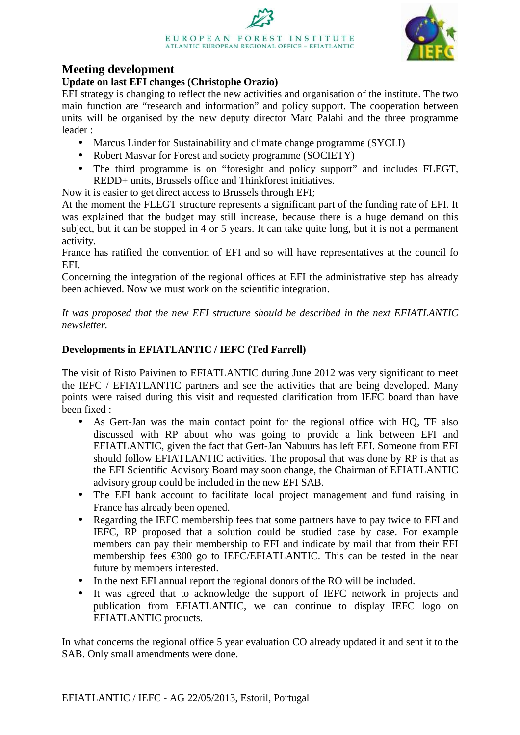

# **Meeting development**

#### **Update on last EFI changes (Christophe Orazio)**

EFI strategy is changing to reflect the new activities and organisation of the institute. The two main function are "research and information" and policy support. The cooperation between units will be organised by the new deputy director Marc Palahi and the three programme leader :

- Marcus Linder for Sustainability and climate change programme (SYCLI)
- Robert Masvar for Forest and society programme (SOCIETY)
- The third programme is on "foresight and policy support" and includes FLEGT, REDD+ units, Brussels office and Thinkforest initiatives.

Now it is easier to get direct access to Brussels through EFI;

At the moment the FLEGT structure represents a significant part of the funding rate of EFI. It was explained that the budget may still increase, because there is a huge demand on this subject, but it can be stopped in 4 or 5 years. It can take quite long, but it is not a permanent activity.

France has ratified the convention of EFI and so will have representatives at the council fo EFI.

Concerning the integration of the regional offices at EFI the administrative step has already been achieved. Now we must work on the scientific integration.

*It was proposed that the new EFI structure should be described in the next EFIATLANTIC newsletter.* 

# **Developments in EFIATLANTIC / IEFC (Ted Farrell)**

The visit of Risto Paivinen to EFIATLANTIC during June 2012 was very significant to meet the IEFC / EFIATLANTIC partners and see the activities that are being developed. Many points were raised during this visit and requested clarification from IEFC board than have been fixed :

- As Gert-Jan was the main contact point for the regional office with HQ, TF also discussed with RP about who was going to provide a link between EFI and EFIATLANTIC, given the fact that Gert-Jan Nabuurs has left EFI. Someone from EFI should follow EFIATLANTIC activities. The proposal that was done by RP is that as the EFI Scientific Advisory Board may soon change, the Chairman of EFIATLANTIC advisory group could be included in the new EFI SAB.
- The EFI bank account to facilitate local project management and fund raising in France has already been opened.
- Regarding the IEFC membership fees that some partners have to pay twice to EFI and IEFC, RP proposed that a solution could be studied case by case. For example members can pay their membership to EFI and indicate by mail that from their EFI membership fees  $\epsilon$ 300 go to IEFC/EFIATLANTIC. This can be tested in the near future by members interested.
- In the next EFI annual report the regional donors of the RO will be included.
- It was agreed that to acknowledge the support of IEFC network in projects and publication from EFIATLANTIC, we can continue to display IEFC logo on EFIATLANTIC products.

In what concerns the regional office 5 year evaluation CO already updated it and sent it to the SAB. Only small amendments were done.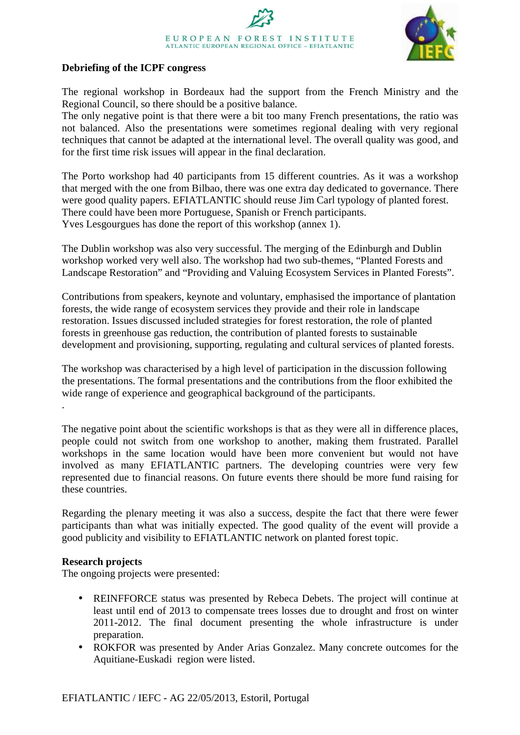# EUROPEAN FOREST INSTITUTE ATLANTIC EUROPEAN REGIONAL OFFICE - EFIATLANTIC



#### **Debriefing of the ICPF congress**

The regional workshop in Bordeaux had the support from the French Ministry and the Regional Council, so there should be a positive balance.

The only negative point is that there were a bit too many French presentations, the ratio was not balanced. Also the presentations were sometimes regional dealing with very regional techniques that cannot be adapted at the international level. The overall quality was good, and for the first time risk issues will appear in the final declaration.

The Porto workshop had 40 participants from 15 different countries. As it was a workshop that merged with the one from Bilbao, there was one extra day dedicated to governance. There were good quality papers. EFIATLANTIC should reuse Jim Carl typology of planted forest. There could have been more Portuguese, Spanish or French participants. Yves Lesgourgues has done the report of this workshop (annex 1).

The Dublin workshop was also very successful. The merging of the Edinburgh and Dublin workshop worked very well also. The workshop had two sub-themes, "Planted Forests and Landscape Restoration" and "Providing and Valuing Ecosystem Services in Planted Forests".

Contributions from speakers, keynote and voluntary, emphasised the importance of plantation forests, the wide range of ecosystem services they provide and their role in landscape restoration. Issues discussed included strategies for forest restoration, the role of planted forests in greenhouse gas reduction, the contribution of planted forests to sustainable development and provisioning, supporting, regulating and cultural services of planted forests.

The workshop was characterised by a high level of participation in the discussion following the presentations. The formal presentations and the contributions from the floor exhibited the wide range of experience and geographical background of the participants. .

The negative point about the scientific workshops is that as they were all in difference places, people could not switch from one workshop to another, making them frustrated. Parallel workshops in the same location would have been more convenient but would not have involved as many EFIATLANTIC partners. The developing countries were very few represented due to financial reasons. On future events there should be more fund raising for these countries.

Regarding the plenary meeting it was also a success, despite the fact that there were fewer participants than what was initially expected. The good quality of the event will provide a good publicity and visibility to EFIATLANTIC network on planted forest topic.

#### **Research projects**

The ongoing projects were presented:

- REINFFORCE status was presented by Rebeca Debets. The project will continue at least until end of 2013 to compensate trees losses due to drought and frost on winter 2011-2012. The final document presenting the whole infrastructure is under preparation.
- ROKFOR was presented by Ander Arias Gonzalez. Many concrete outcomes for the Aquitiane-Euskadi region were listed.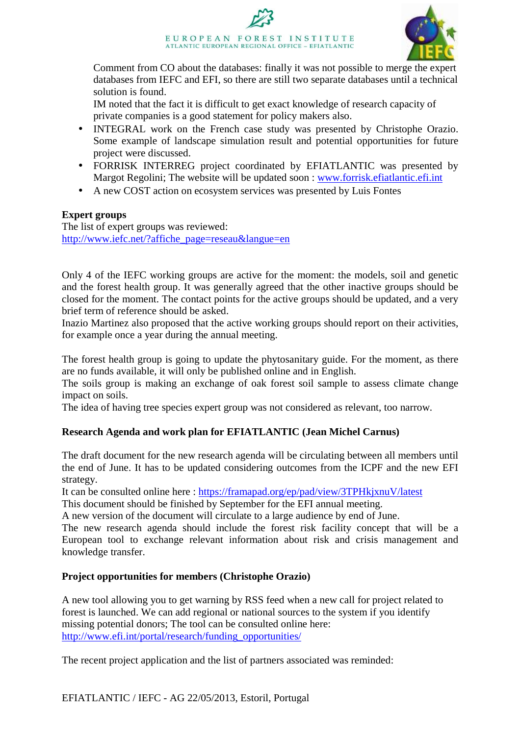

Comment from CO about the databases: finally it was not possible to merge the expert databases from IEFC and EFI, so there are still two separate databases until a technical solution is found.

IM noted that the fact it is difficult to get exact knowledge of research capacity of private companies is a good statement for policy makers also.

- INTEGRAL work on the French case study was presented by Christophe Orazio. Some example of landscape simulation result and potential opportunities for future project were discussed.
- FORRISK INTERREG project coordinated by EFIATLANTIC was presented by Margot Regolini; The website will be updated soon : www.forrisk.efiatlantic.efi.int
- A new COST action on ecosystem services was presented by Luis Fontes

#### **Expert groups**

The list of expert groups was reviewed: http://www.iefc.net/?affiche\_page=reseau&langue=en

Only 4 of the IEFC working groups are active for the moment: the models, soil and genetic and the forest health group. It was generally agreed that the other inactive groups should be closed for the moment. The contact points for the active groups should be updated, and a very brief term of reference should be asked.

Inazio Martinez also proposed that the active working groups should report on their activities, for example once a year during the annual meeting.

The forest health group is going to update the phytosanitary guide. For the moment, as there are no funds available, it will only be published online and in English.

The soils group is making an exchange of oak forest soil sample to assess climate change impact on soils.

The idea of having tree species expert group was not considered as relevant, too narrow.

#### **Research Agenda and work plan for EFIATLANTIC (Jean Michel Carnus)**

The draft document for the new research agenda will be circulating between all members until the end of June. It has to be updated considering outcomes from the ICPF and the new EFI strategy.

It can be consulted online here : https://framapad.org/ep/pad/view/3TPHkjxnuV/latest

This document should be finished by September for the EFI annual meeting.

A new version of the document will circulate to a large audience by end of June.

The new research agenda should include the forest risk facility concept that will be a European tool to exchange relevant information about risk and crisis management and knowledge transfer.

#### **Project opportunities for members (Christophe Orazio)**

A new tool allowing you to get warning by RSS feed when a new call for project related to forest is launched. We can add regional or national sources to the system if you identify missing potential donors; The tool can be consulted online here: http://www.efi.int/portal/research/funding\_opportunities/

The recent project application and the list of partners associated was reminded: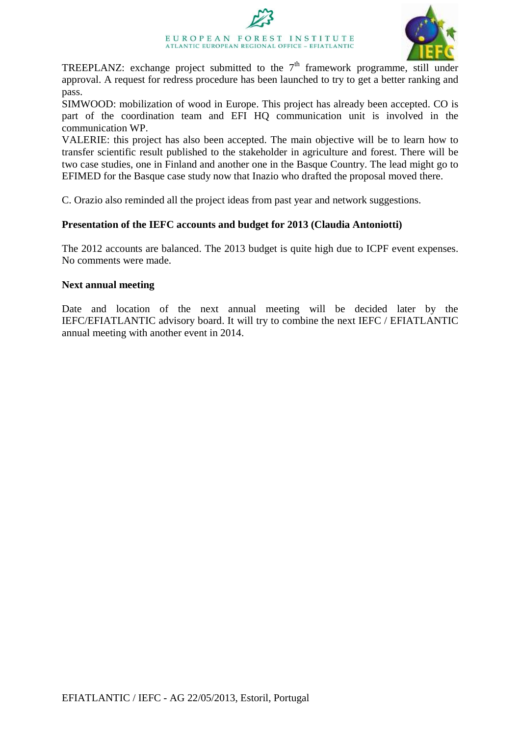# EUROPEAN FOREST INSTITUTE ATLANTIC EUROPEAN REGIONAL OFFICE - EFIATLANTIC



TREEPLANZ: exchange project submitted to the  $7<sup>th</sup>$  framework programme, still under approval. A request for redress procedure has been launched to try to get a better ranking and pass.

SIMWOOD: mobilization of wood in Europe. This project has already been accepted. CO is part of the coordination team and EFI HQ communication unit is involved in the communication WP.

VALERIE: this project has also been accepted. The main objective will be to learn how to transfer scientific result published to the stakeholder in agriculture and forest. There will be two case studies, one in Finland and another one in the Basque Country. The lead might go to EFIMED for the Basque case study now that Inazio who drafted the proposal moved there.

C. Orazio also reminded all the project ideas from past year and network suggestions.

#### **Presentation of the IEFC accounts and budget for 2013 (Claudia Antoniotti)**

The 2012 accounts are balanced. The 2013 budget is quite high due to ICPF event expenses. No comments were made.

#### **Next annual meeting**

Date and location of the next annual meeting will be decided later by the IEFC/EFIATLANTIC advisory board. It will try to combine the next IEFC / EFIATLANTIC annual meeting with another event in 2014.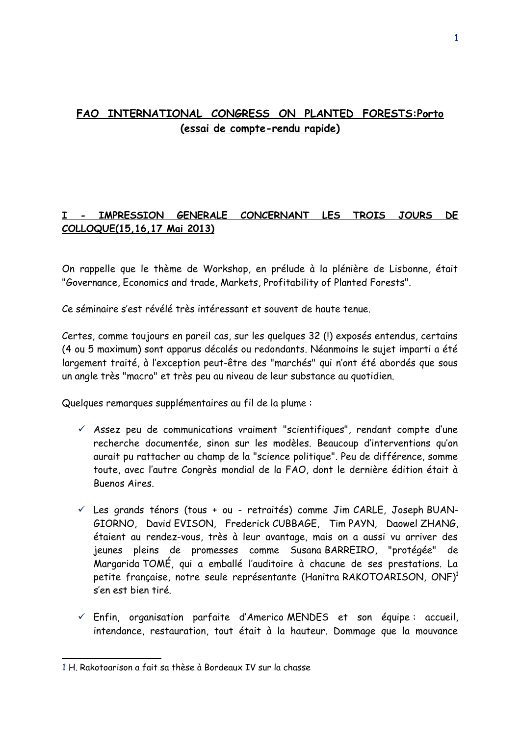# **FAO INTERNATIONAL CONGRESS ON PLANTED FORESTS:Porto (essai de compte-rendu rapide)**

# **I - IMPRESSION GENERALE CONCERNANT LES TROIS JOURS DE COLLOQUE(15,16,17 Mai 2013)**

On rappelle que le thème de Workshop, en prélude à la plénière de Lisbonne, était "Governance, Economics and trade, Markets, Profitability of Planted Forests".

Ce séminaire s'est révélé très intéressant et souvent de haute tenue.

Certes, comme toujours en pareil cas, sur les quelques 32 (!) exposés entendus, certains (4 ou 5 maximum) sont apparus décalés ou redondants. Néanmoins le sujet imparti a été largement traité, à l'exception peut-être des "marchés" qui n'ont été abordés que sous un angle très "macro" et très peu au niveau de leur substance au quotidien.

Quelques remarques supplémentaires au fil de la plume :

- $\checkmark$  Assez peu de communications vraiment "scientifiques", rendant compte d'une recherche documentée, sinon sur les modèles. Beaucoup d'interventions qu'on aurait pu rattacher au champ de la "science politique". Peu de différence, somme toute, avec l'autre Congrès mondial de la FAO, dont le dernière édition était à Buenos Aires.
- $\checkmark$  Les grands ténors (tous + ou retraités) comme Jim CARLE, Joseph BUAN-GIORNO, David EVISON, Frederick CUBBAGE, Tim PAYN, Daowel ZHANG, étaient au rendez-vous, très à leur avantage, mais on a aussi vu arriver des jeunes pleins de promesses comme Susana BARREIRO, "protégée" de Margarida TOMÉ, qui a emballé l'auditoire à chacune de ses prestations. La petite française, notre seule représentante (Hanitra RAKOTOARISON, ONF)<sup>[1](#page-5-0)</sup> s'en est bien tiré.
- $\checkmark$  Enfin, organisation parfaite d'Americo MENDES et son équipe : accueil, intendance, restauration, tout était à la hauteur. Dommage que la mouvance

<span id="page-5-0"></span><sup>1</sup> H. Rakotoarison a fait sa thèse à Bordeaux IV sur la chasse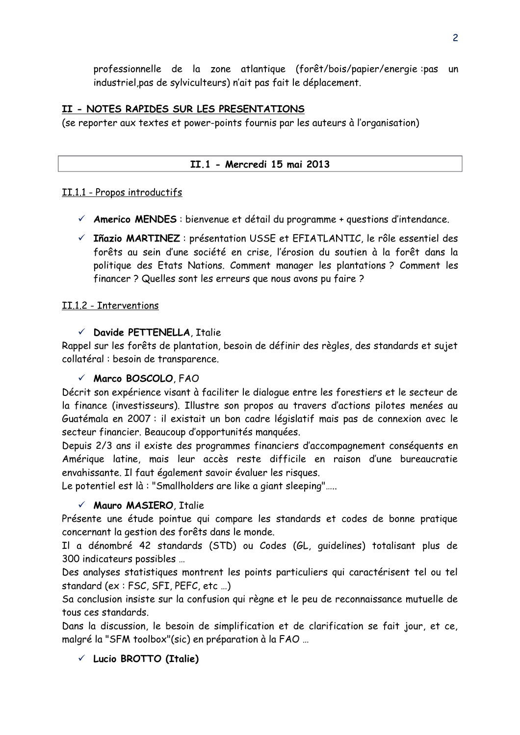professionnelle de la zone atlantique (forêt/bois/papier/energie :pas un industriel,pas de sylviculteurs) n'ait pas fait le déplacement.

### **II - NOTES RAPIDES SUR LES PRESENTATIONS**

(se reporter aux textes et power-points fournis par les auteurs à l'organisation)

#### **II.1 - Mercredi 15 mai 2013**

#### II.1.1 - Propos introductifs

- **Americo MENDES** : bienvenue et détail du programme + questions d'intendance.
- **Iñazio MARTINEZ** : présentation USSE et EFIATLANTIC, le rôle essentiel des forêts au sein d'une société en crise, l'érosion du soutien à la forêt dans la politique des Etats Nations. Comment manager les plantations ? Comment les financer ? Quelles sont les erreurs que nous avons pu faire ?

#### II.1.2 - Interventions

#### **Davide PETTENELLA**, Italie

Rappel sur les forêts de plantation, besoin de définir des règles, des standards et sujet collatéral : besoin de transparence.

#### **Marco BOSCOLO**, FAO

Décrit son expérience visant à faciliter le dialogue entre les forestiers et le secteur de la finance (investisseurs). Illustre son propos au travers d'actions pilotes menées au Guatémala en 2007 : il existait un bon cadre législatif mais pas de connexion avec le secteur financier. Beaucoup d'opportunités manquées.

Depuis 2/3 ans il existe des programmes financiers d'accompagnement conséquents en Amérique latine, mais leur accès reste difficile en raison d'une bureaucratie envahissante. Il faut également savoir évaluer les risques.

Le potentiel est là : "Smallholders are like a giant sleeping"…..

#### **Mauro MASIERO**, Italie

Présente une étude pointue qui compare les standards et codes de bonne pratique concernant la gestion des forêts dans le monde.

Il a dénombré 42 standards (STD) ou Codes (GL, guidelines) totalisant plus de 300 indicateurs possibles …

Des analyses statistiques montrent les points particuliers qui caractérisent tel ou tel standard (ex : FSC, SFI, PEFC, etc …)

Sa conclusion insiste sur la confusion qui règne et le peu de reconnaissance mutuelle de tous ces standards.

Dans la discussion, le besoin de simplification et de clarification se fait jour, et ce, malgré la "SFM toolbox"(sic) en préparation à la FAO …

**Lucio BROTTO (Italie)**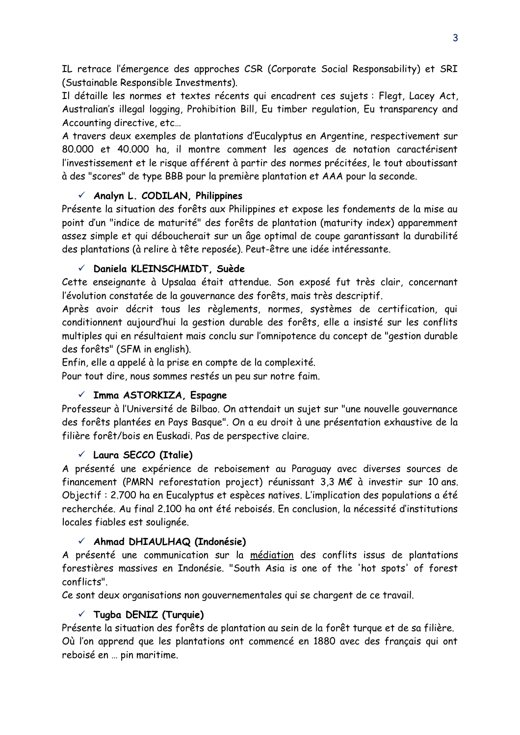IL retrace l'émergence des approches CSR (Corporate Social Responsability) et SRI (Sustainable Responsible Investments).

Il détaille les normes et textes récents qui encadrent ces sujets : Flegt, Lacey Act, Australian's illegal logging, Prohibition Bill, Eu timber regulation, Eu transparency and Accounting directive, etc…

A travers deux exemples de plantations d'Eucalyptus en Argentine, respectivement sur 80.000 et 40.000 ha, il montre comment les agences de notation caractérisent l'investissement et le risque afférent à partir des normes précitées, le tout aboutissant à des "scores" de type BBB pour la première plantation et AAA pour la seconde.

# **Analyn L. CODILAN, Philippines**

Présente la situation des forêts aux Philippines et expose les fondements de la mise au point d'un "indice de maturité" des forêts de plantation (maturity index) apparemment assez simple et qui déboucherait sur un âge optimal de coupe garantissant la durabilité des plantations (à relire à tête reposée). Peut-être une idée intéressante.

# **Daniela KLEINSCHMIDT, Suède**

Cette enseignante à Upsalaa était attendue. Son exposé fut très clair, concernant l'évolution constatée de la gouvernance des forêts, mais très descriptif.

Après avoir décrit tous les règlements, normes, systèmes de certification, qui conditionnent aujourd'hui la gestion durable des forêts, elle a insisté sur les conflits multiples qui en résultaient mais conclu sur l'omnipotence du concept de "gestion durable des forêts" (SFM in english).

Enfin, elle a appelé à la prise en compte de la complexité.

Pour tout dire, nous sommes restés un peu sur notre faim.

# **Imma ASTORKIZA, Espagne**

Professeur à l'Université de Bilbao. On attendait un sujet sur "une nouvelle gouvernance des forêts plantées en Pays Basque". On a eu droit à une présentation exhaustive de la filière forêt/bois en Euskadi. Pas de perspective claire.

# **Laura SECCO (Italie)**

A présenté une expérience de reboisement au Paraguay avec diverses sources de financement (PMRN reforestation project) réunissant 3,3 M€ à investir sur 10 ans. Objectif : 2.700 ha en Eucalyptus et espèces natives. L'implication des populations a été recherchée. Au final 2.100 ha ont été reboisés. En conclusion, la nécessité d'institutions locales fiables est soulignée.

# **Ahmad DHIAULHAQ (Indonésie)**

A présenté une communication sur la médiation des conflits issus de plantations forestières massives en Indonésie. "South Asia is one of the 'hot spots' of forest conflicts".

Ce sont deux organisations non gouvernementales qui se chargent de ce travail.

# **Tugba DENIZ (Turquie)**

Présente la situation des forêts de plantation au sein de la forêt turque et de sa filière. Où l'on apprend que les plantations ont commencé en 1880 avec des français qui ont reboisé en … pin maritime.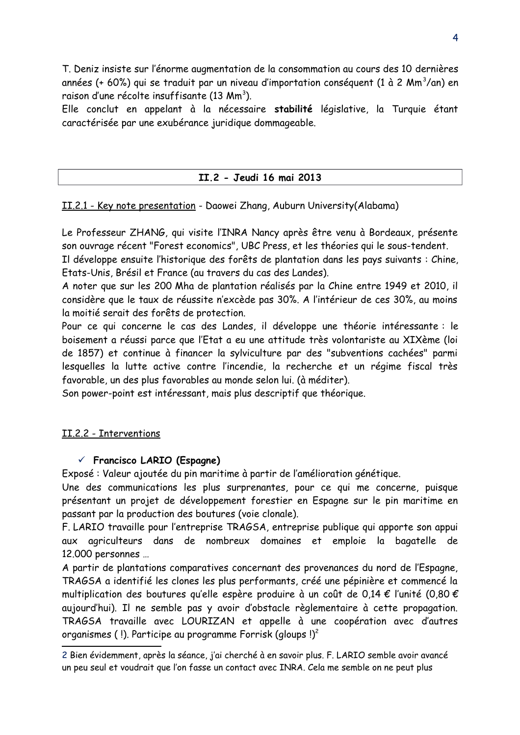T. Deniz insiste sur l'énorme augmentation de la consommation au cours des 10 dernières années (+ 60%) qui se traduit par un niveau d'importation conséquent (1 à 2 Mm $^3$ /an) en raison d'une récolte insuffisante (13 Mm $^3$ ).

Elle conclut en appelant à la nécessaire **stabilité** législative, la Turquie étant caractérisée par une exubérance juridique dommageable.

#### **II.2 - Jeudi 16 mai 2013**

#### II .2.1 - Key note presentation - Daowei Zhang, Auburn University(Alabama)

Le Professeur ZHANG, qui visite l'INRA Nancy après être venu à Bordeaux, présente son ouvrage récent "Forest economics", UBC Press, et les théories qui le sous-tendent.

Il développe ensuite l'historique des forêts de plantation dans les pays suivants : Chine, Etats-Unis, Brésil et France (au travers du cas des Landes).

A noter que sur les 200 Mha de plantation réalisés par la Chine entre 1949 et 2010, il considère que le taux de réussite n'excède pas 30%. A l'intérieur de ces 30%, au moins la moitié serait des forêts de protection.

Pour ce qui concerne le cas des Landes, il développe une théorie intéressante : le boisement a réussi parce que l'Etat a eu une attitude très volontariste au XIXème (loi de 1857) et continue à financer la sylviculture par des "subventions cachées" parmi lesquelles la lutte active contre l'incendie, la recherche et un régime fiscal très favorable, un des plus favorables au monde selon lui. (à méditer).

Son power-point est intéressant, mais plus descriptif que théorique.

#### II.2.2 - Interventions

#### **Francisco LARIO (Espagne)**

Exposé : Valeur ajoutée du pin maritime à partir de l'amélioration génétique.

Une des communications les plus surprenantes, pour ce qui me concerne, puisque présentant un projet de développement forestier en Espagne sur le pin maritime en passant par la production des boutures (voie clonale).

F. LARIO travaille pour l'entreprise TRAGSA, entreprise publique qui apporte son appui aux agriculteurs dans de nombreux domaines et emploie la bagatelle de 12.000 personnes …

A partir de plantations comparatives concernant des provenances du nord de l'Espagne, TRAGSA a identifié les clones les plus performants, créé une pépinière et commencé la multiplication des boutures qu'elle espère produire à un coût de 0,14 € l'unité (0,80 € aujourd'hui). Il ne semble pas y avoir d'obstacle règlementaire à cette propagation. TRAGSA travaille avec LOURIZAN et appelle à une coopération avec d'autres organismes (!). Participe au programme Forrisk (gloups  $!)^2$  $!)^2$ 

<span id="page-8-0"></span><sup>2</sup> Bien évidemment, après la séance, j'ai cherché à en savoir plus. F. LARIO semble avoir avancé un peu seul et voudrait que l'on fasse un contact avec INRA. Cela me semble on ne peut plus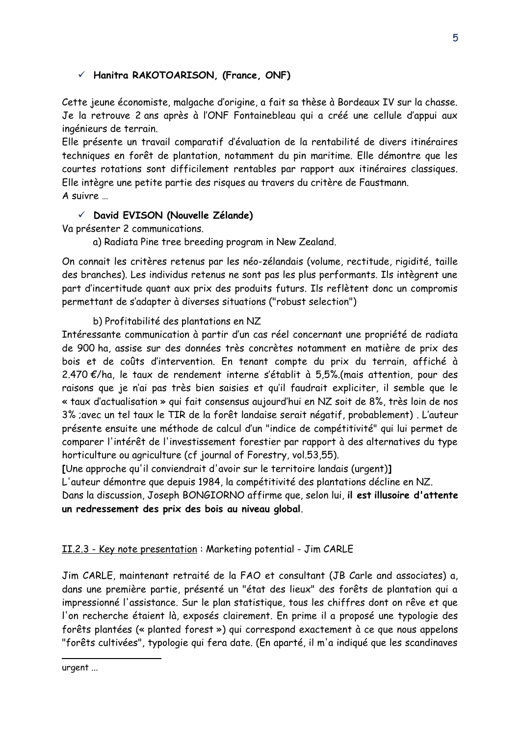# **Hanitra RAKOTOARISON, (France, ONF)**

Cette jeune économiste, malgache d'origine, a fait sa thèse à Bordeaux IV sur la chasse. Je la retrouve 2 ans après à l'ONF Fontainebleau qui a créé une cellule d'appui aux ingénieurs de terrain.

Elle présente un travail comparatif d'évaluation de la rentabilité de divers itinéraires techniques en forêt de plantation, notamment du pin maritime. Elle démontre que les courtes rotations sont difficilement rentables par rapport aux itinéraires classiques. Elle intègre une petite partie des risques au travers du critère de Faustmann. A suivre …

#### **David EVISON (Nouvelle Zélande)**

Va présenter 2 communications.

a) Radiata Pine tree breeding program in New Zealand.

On connait les critères retenus par les néo-zélandais (volume, rectitude, rigidité, taille des branches). Les individus retenus ne sont pas les plus performants. Ils intègrent une part d'incertitude quant aux prix des produits futurs. Ils reflètent donc un compromis permettant de s'adapter à diverses situations ("robust selection")

b) Profitabilité des plantations en NZ

Intéressante communication à partir d'un cas réel concernant une propriété de radiata de 900 ha, assise sur des données très concrètes notamment en matière de prix des bois et de coûts d'intervention. En tenant compte du prix du terrain, affiché à 2.470 €/ha, le taux de rendement interne s'établit à 5,5%.(mais attention, pour des raisons que je n'ai pas très bien saisies et qu'il faudrait expliciter, il semble que le « taux d'actualisation » qui fait consensus aujourd'hui en NZ soit de 8%, très loin de nos 3% ;avec un tel taux le TIR de la forêt landaise serait négatif, probablement) . L'auteur présente ensuite une méthode de calcul d'un "indice de compétitivité" qui lui permet de comparer l'intérêt de l'investissement forestier par rapport à des alternatives du type horticulture ou agriculture (cf journal of Forestry, vol.53,55).

**[**Une approche qu'il conviendrait d'avoir sur le territoire landais (urgent)**]**

L'auteur démontre que depuis 1984, la compétitivité des plantations décline en NZ.

Dans la discussion, Joseph BONGIORNO affirme que, selon lui, **il est illusoire d'attente un redressement des prix des bois au niveau global**.

# II.2.3 - Key note presentation : Marketing potential - Jim CARLE

Jim CARLE, maintenant retraité de la FAO et consultant (JB Carle and associates) a, dans une première partie, présenté un "état des lieux" des forêts de plantation qui a impressionné l'assistance. Sur le plan statistique, tous les chiffres dont on rêve et que l'on recherche étaient là, exposés clairement. En prime il a proposé une typologie des forêts plantées (« planted forest ») qui correspond exactement à ce que nous appelons "forêts cultivées", typologie qui fera date. (En aparté, il m'a indiqué que les scandinaves

urgent ...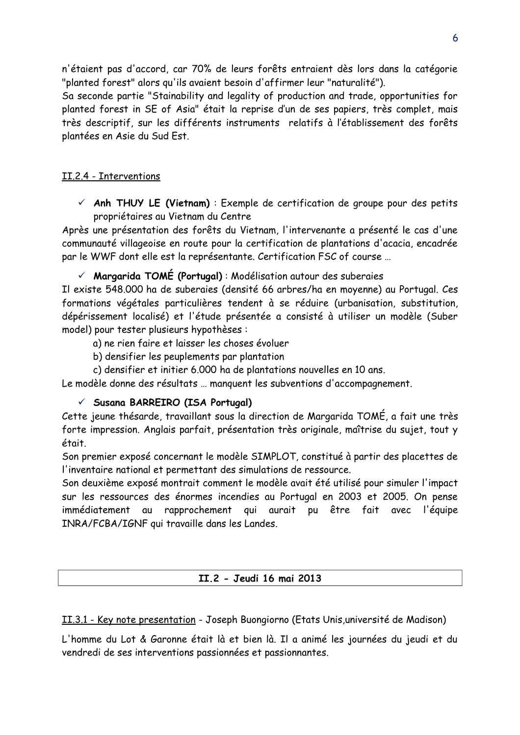n'étaient pas d'accord, car 70% de leurs forêts entraient dès lors dans la catégorie "planted forest" alors qu'ils avaient besoin d'affirmer leur "naturalité").

Sa seconde partie "Stainability and legality of production and trade, opportunities for planted forest in SE of Asia" était la reprise d'un de ses papiers, très complet, mais très descriptif, sur les différents instruments relatifs à l'établissement des forêts plantées en Asie du Sud Est.

### II .2.4 - Interventions

 **Anh THUY LE (Vietnam)** : Exemple de certification de groupe pour des petits propriétaires au Vietnam du Centre

Après une présentation des forêts du Vietnam, l'intervenante a présenté le cas d'une communauté villageoise en route pour la certification de plantations d'acacia, encadrée par le WWF dont elle est la représentante. Certification FSC of course …

**Margarida TOMÉ (Portugal)** : Modélisation autour des suberaies

Il existe 548.000 ha de suberaies (densité 66 arbres/ha en moyenne) au Portugal. Ces formations végétales particulières tendent à se réduire (urbanisation, substitution, dépérissement localisé) et l'étude présentée a consisté à utiliser un modèle (Suber model) pour tester plusieurs hypothèses :

a) ne rien faire et laisser les choses évoluer

- b) densifier les peuplements par plantation
- c) densifier et initier 6.000 ha de plantations nouvelles en 10 ans.

Le modèle donne des résultats … manquent les subventions d'accompagnement.

#### **Susana BARREIRO (ISA Portugal)**

Cette jeune thésarde, travaillant sous la direction de Margarida TOMÉ, a fait une très forte impression. Anglais parfait, présentation très originale, maîtrise du sujet, tout y était.

Son premier exposé concernant le modèle SIMPLOT, constitué à partir des placettes de l'inventaire national et permettant des simulations de ressource.

Son deuxième exposé montrait comment le modèle avait été utilisé pour simuler l'impact sur les ressources des énormes incendies au Portugal en 2003 et 2005. On pense immédiatement au rapprochement qui aurait pu être fait avec l'équipe INRA/FCBA/IGNF qui travaille dans les Landes.

**II.2 - Jeudi 16 mai 2013**

II.3.1 - Key note presentation - Joseph Buongiorno (Etats Unis,université de Madison)

L'homme du Lot & Garonne était là et bien là. Il a animé les journées du jeudi et du vendredi de ses interventions passionnées et passionnantes.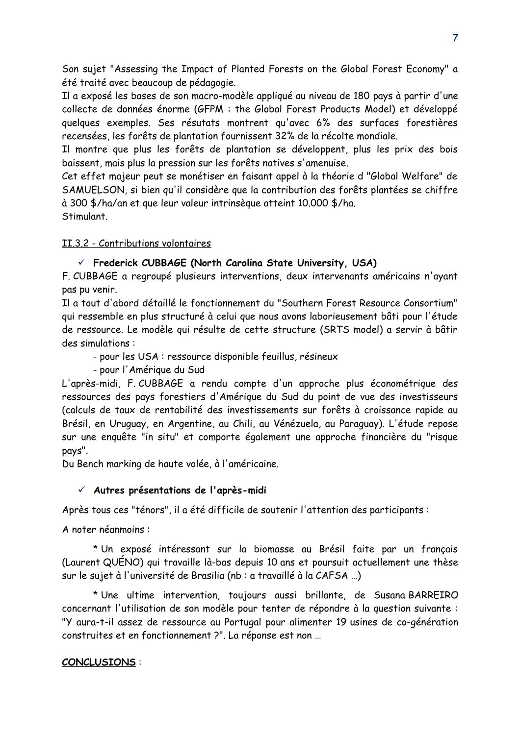Son sujet "Assessing the Impact of Planted Forests on the Global Forest Economy" a été traité avec beaucoup de pédagogie.

Il a exposé les bases de son macro-modèle appliqué au niveau de 180 pays à partir d'une collecte de données énorme (GFPM : the Global Forest Products Model) et développé quelques exemples. Ses résutats montrent qu'avec 6% des surfaces forestières recensées, les forêts de plantation fournissent 32% de la récolte mondiale.

Il montre que plus les forêts de plantation se développent, plus les prix des bois baissent, mais plus la pression sur les forêts natives s'amenuise.

Cet effet majeur peut se monétiser en faisant appel à la théorie d "Global Welfare" de SAMUELSON, si bien qu'il considère que la contribution des forêts plantées se chiffre à 300 \$/ha/an et que leur valeur intrinsèque atteint 10.000 \$/ha. Stimulant.

#### II.3.2 - Contributions volontaires

#### **Frederick CUBBAGE (North Carolina State University, USA)**

F. CUBBAGE a regroupé plusieurs interventions, deux intervenants américains n'ayant pas pu venir.

Il a tout d'abord détaillé le fonctionnement du "Southern Forest Resource Consortium" qui ressemble en plus structuré à celui que nous avons laborieusement bâti pour l'étude de ressource. Le modèle qui résulte de cette structure (SRTS model) a servir à bâtir des simulations :

- pour les USA : ressource disponible feuillus, résineux

- pour l'Amérique du Sud

L'après-midi, F. CUBBAGE a rendu compte d'un approche plus économétrique des ressources des pays forestiers d'Amérique du Sud du point de vue des investisseurs (calculs de taux de rentabilité des investissements sur forêts à croissance rapide au Brésil, en Uruguay, en Argentine, au Chili, au Vénézuela, au Paraguay). L'étude repose sur une enquête "in situ" et comporte également une approche financière du "risque pays".

Du Bench marking de haute volée, à l'américaine.

#### **Autres présentations de l'après-midi**

Après tous ces "ténors", il a été difficile de soutenir l'attention des participants :

A noter néanmoins :

\* Un exposé intéressant sur la biomasse au Brésil faite par un français (Laurent QUÉNO) qui travaille là-bas depuis 10 ans et poursuit actuellement une thèse sur le sujet à l'université de Brasilia (nb : a travaillé à la CAFSA …)

\* Une ultime intervention, toujours aussi brillante, de Susana BARREIRO concernant l'utilisation de son modèle pour tenter de répondre à la question suivante : "Y aura-t-il assez de ressource au Portugal pour alimenter 19 usines de co-génération construites et en fonctionnement ?". La réponse est non …

#### **CONCLUSIONS** :